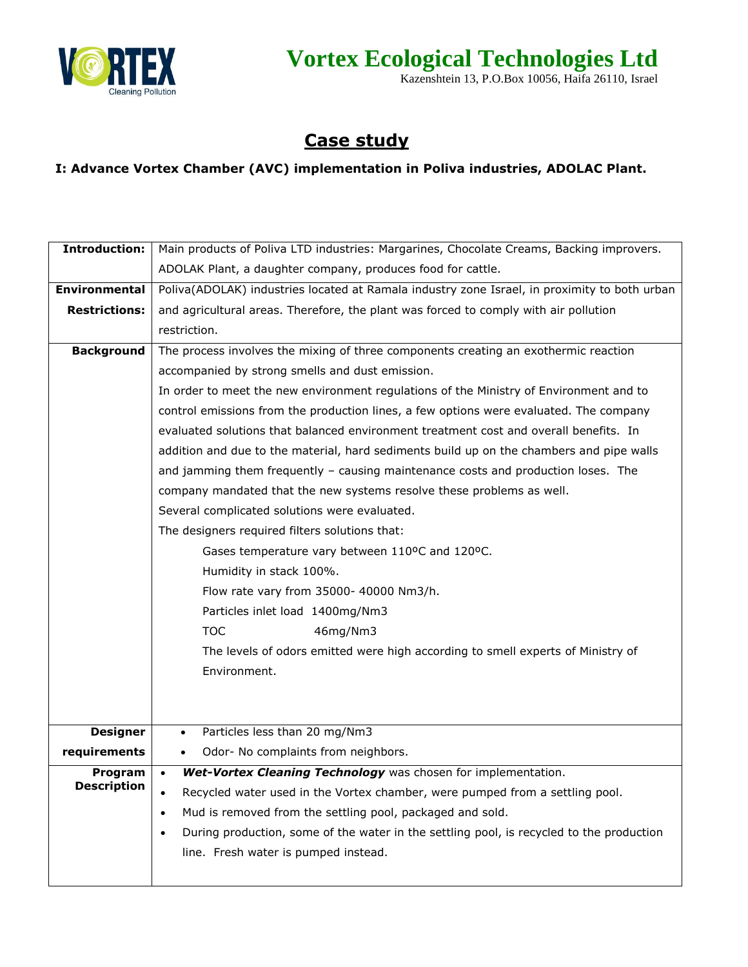

## **Vortex Ecological Technologies Ltd**

Kazenshtein 13, P.O.Box 10056, Haifa 26110, Israel

## **Case study**

## **I: Advance Vortex Chamber (AVC) implementation in Poliva industries, ADOLAC Plant.**

| <b>Introduction:</b> | Main products of Poliva LTD industries: Margarines, Chocolate Creams, Backing improvers.              |
|----------------------|-------------------------------------------------------------------------------------------------------|
|                      | ADOLAK Plant, a daughter company, produces food for cattle.                                           |
| <b>Environmental</b> | Poliva(ADOLAK) industries located at Ramala industry zone Israel, in proximity to both urban          |
| <b>Restrictions:</b> | and agricultural areas. Therefore, the plant was forced to comply with air pollution                  |
|                      | restriction.                                                                                          |
| <b>Background</b>    | The process involves the mixing of three components creating an exothermic reaction                   |
|                      | accompanied by strong smells and dust emission.                                                       |
|                      | In order to meet the new environment regulations of the Ministry of Environment and to                |
|                      | control emissions from the production lines, a few options were evaluated. The company                |
|                      | evaluated solutions that balanced environment treatment cost and overall benefits. In                 |
|                      | addition and due to the material, hard sediments build up on the chambers and pipe walls              |
|                      | and jamming them frequently - causing maintenance costs and production loses. The                     |
|                      | company mandated that the new systems resolve these problems as well.                                 |
|                      | Several complicated solutions were evaluated.                                                         |
|                      | The designers required filters solutions that:                                                        |
|                      | Gases temperature vary between 110°C and 120°C.                                                       |
|                      | Humidity in stack 100%.                                                                               |
|                      | Flow rate vary from 35000- 40000 Nm3/h.                                                               |
|                      | Particles inlet load 1400mg/Nm3                                                                       |
|                      | <b>TOC</b><br>46mg/Nm3                                                                                |
|                      | The levels of odors emitted were high according to smell experts of Ministry of                       |
|                      | Environment.                                                                                          |
|                      |                                                                                                       |
|                      |                                                                                                       |
| <b>Designer</b>      | Particles less than 20 mg/Nm3<br>$\bullet$                                                            |
| requirements         | Odor- No complaints from neighbors.<br>$\bullet$                                                      |
| Program              | Wet-Vortex Cleaning Technology was chosen for implementation.<br>$\bullet$                            |
| <b>Description</b>   | Recycled water used in the Vortex chamber, were pumped from a settling pool.<br>$\bullet$             |
|                      | Mud is removed from the settling pool, packaged and sold.<br>$\bullet$                                |
|                      | During production, some of the water in the settling pool, is recycled to the production<br>$\bullet$ |
|                      | line. Fresh water is pumped instead.                                                                  |
|                      |                                                                                                       |